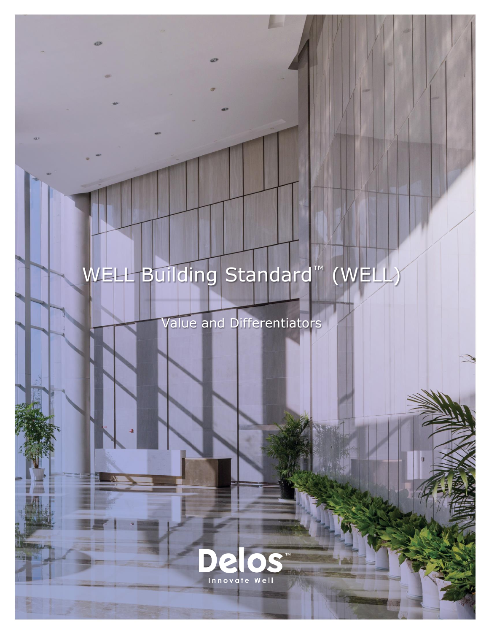# WELL Building Standard™ (WEL

Value and Differentiators

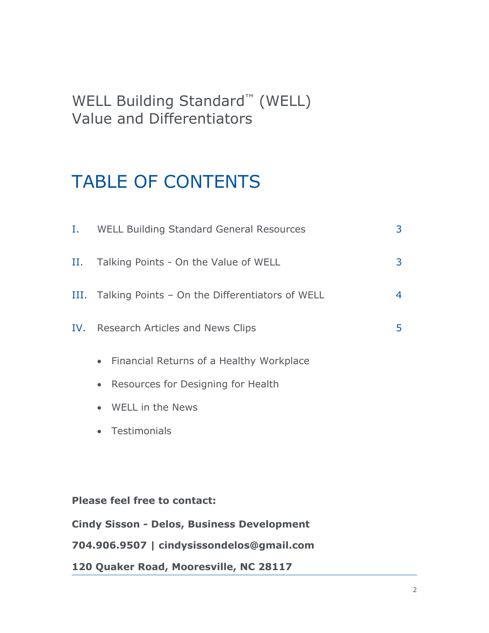### WELL Building Standard™ (WELL) Value and Differentiators

## TABLE OF CONTENTS

| I. –                                              | WELL Building Standard General Resources              | 3              |
|---------------------------------------------------|-------------------------------------------------------|----------------|
| Н.                                                | Talking Points - On the Value of WELL                 | 3              |
|                                                   | III. Talking Points - On the Differentiators of WELL  | $\overline{4}$ |
| IV.                                               | Research Articles and News Clips                      | 5              |
|                                                   | Financial Returns of a Healthy Workplace<br>$\bullet$ |                |
|                                                   | Resources for Designing for Health<br>$\bullet$       |                |
|                                                   | WELL in the News<br>$\bullet$                         |                |
|                                                   | Testimonials<br>$\bullet$                             |                |
|                                                   |                                                       |                |
|                                                   |                                                       |                |
| <b>Please feel free to contact:</b>               |                                                       |                |
| <b>Cindy Sisson - Delos, Business Development</b> |                                                       |                |
| 704.906.9507   cindysissondelos@gmail.com         |                                                       |                |

**120 Quaker Road, Mooresville, NC 28117**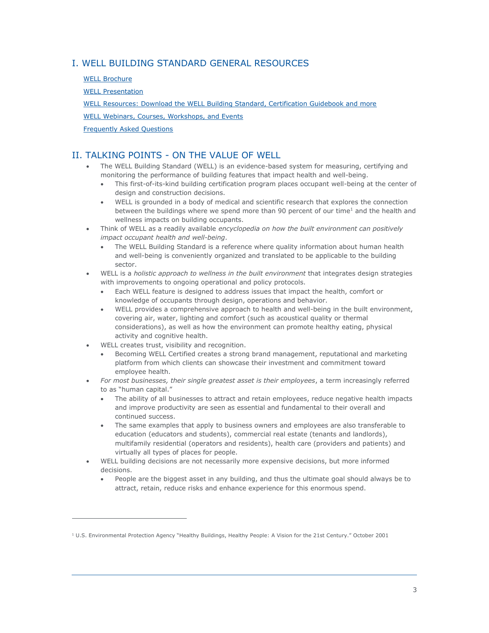#### I. WELL BUILDING STANDARD GENERAL RESOURCES

[WELL Brochure](https://www.wellcertified.com/sites/default/files/resources/WELLBrochure_111815_0.pdf)

 $\overline{a}$ 

[WELL Presentation](https://www.wellcertified.com/resources/presentation-well)

[WELL Resources: Download the WELL Building Standard, Certification Guidebook and more](http://www.wellcertified.com/resources)

[WELL Webinars, Courses, Workshops, and Events](https://www.wellcertified.com/content/learn)

[Frequently Asked Questions](https://www.wellcertified.com/faq)

#### II. TALKING POINTS - ON THE VALUE OF WELL

- The WELL Building Standard (WELL) is an evidence-based system for measuring, certifying and monitoring the performance of building features that impact health and well-being.
	- This first-of-its-kind building certification program places occupant well-being at the center of design and construction decisions.
	- WELL is grounded in a body of medical and scientific research that explores the connection between the buildings where we spend more than 90 percent of our time<sup>1</sup> and the health and wellness impacts on building occupants.
- Think of WELL as a readily available *encyclopedia on how the built environment can positively impact occupant health and well-being*.
	- The WELL Building Standard is a reference where quality information about human health and well-being is conveniently organized and translated to be applicable to the building sector.
- WELL is a *holistic approach to wellness in the built environment* that integrates design strategies with improvements to ongoing operational and policy protocols.
	- Each WELL feature is designed to address issues that impact the health, comfort or knowledge of occupants through design, operations and behavior.
	- WELL provides a comprehensive approach to health and well-being in the built environment, covering air, water, lighting and comfort (such as acoustical quality or thermal considerations), as well as how the environment can promote healthy eating, physical activity and cognitive health.
- WELL creates trust, visibility and recognition.
	- Becoming WELL Certified creates a strong brand management, reputational and marketing platform from which clients can showcase their investment and commitment toward employee health.
- *For most businesses, their single greatest asset is their employees*, a term increasingly referred to as "human capital."
	- The ability of all businesses to attract and retain employees, reduce negative health impacts and improve productivity are seen as essential and fundamental to their overall and continued success.
	- The same examples that apply to business owners and employees are also transferable to education (educators and students), commercial real estate (tenants and landlords), multifamily residential (operators and residents), health care (providers and patients) and virtually all types of places for people.
- WELL building decisions are not necessarily more expensive decisions, but more informed decisions.
	- People are the biggest asset in any building, and thus the ultimate goal should always be to attract, retain, reduce risks and enhance experience for this enormous spend.

 $1$  U.S. Environmental Protection Agency "Healthy Buildings, Healthy People: A Vision for the 21st Century." October 2001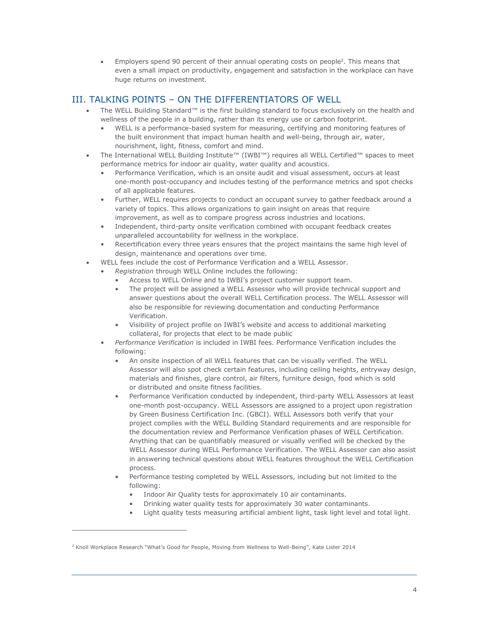• Employers spend 90 percent of their annual operating costs on people<sup>2</sup>. This means that even a small impact on productivity, engagement and satisfaction in the workplace can have huge returns on investment.

#### III. TALKING POINTS – ON THE DIFFERENTIATORS OF WELL

- The WELL Building Standard™ is the first building standard to focus exclusively on the health and wellness of the people in a building, rather than its energy use or carbon footprint.
	- WELL is a performance-based system for measuring, certifying and monitoring features of the built environment that impact human health and well-being, through air, water, nourishment, light, fitness, comfort and mind.
- The International WELL Building Institute™ (IWBI™) requires all WELL Certified™ spaces to meet performance metrics for indoor air quality, water quality and acoustics.
	- Performance Verification, which is an onsite audit and visual assessment, occurs at least one-month post-occupancy and includes testing of the performance metrics and spot checks of all applicable features.
	- Further, WELL requires projects to conduct an occupant survey to gather feedback around a variety of topics. This allows organizations to gain insight on areas that require improvement, as well as to compare progress across industries and locations.
	- Independent, third-party onsite verification combined with occupant feedback creates unparalleled accountability for wellness in the workplace.
	- Recertification every three years ensures that the project maintains the same high level of design, maintenance and operations over time.
	- WELL fees include the cost of Performance Verification and a WELL Assessor.
		- *Registration* through WELL Online includes the following:
			- Access to WELL Online and to IWBI's project customer support team.
			- The project will be assigned a WELL Assessor who will provide technical support and answer questions about the overall WELL Certification process. The WELL Assessor will also be responsible for reviewing documentation and conducting Performance Verification.
			- Visibility of project profile on IWBI's website and access to additional marketing collateral, for projects that elect to be made public
		- *Performance Verification* is included in IWBI fees. Performance Verification includes the following:
			- An onsite inspection of all WELL features that can be visually verified. The WELL Assessor will also spot check certain features, including ceiling heights, entryway design, materials and finishes, glare control, air filters, furniture design, food which is sold or distributed and onsite fitness facilities.
			- Performance Verification conducted by independent, third-party WELL Assessors at least one-month post-occupancy. WELL Assessors are assigned to a project upon registration by Green Business Certification Inc. (GBCI). WELL Assessors both verify that your project complies with the WELL Building Standard requirements and are responsible for the documentation review and Performance Verification phases of WELL Certification. Anything that can be quantifiably measured or visually verified will be checked by the WELL Assessor during WELL Performance Verification. The WELL Assessor can also assist in answering technical questions about WELL features throughout the WELL Certification process.
			- Performance testing completed by WELL Assessors, including but not limited to the following:
				- Indoor Air Quality tests for approximately 10 air contaminants.
				- Drinking water quality tests for approximately 30 water contaminants.
				- Light quality tests measuring artificial ambient light, task light level and total light.

 $\overline{a}$ 

<sup>&</sup>lt;sup>2</sup> Knoll Workplace Research "What's Good for People, Moving from Wellness to Well-Being", Kate Lister 2014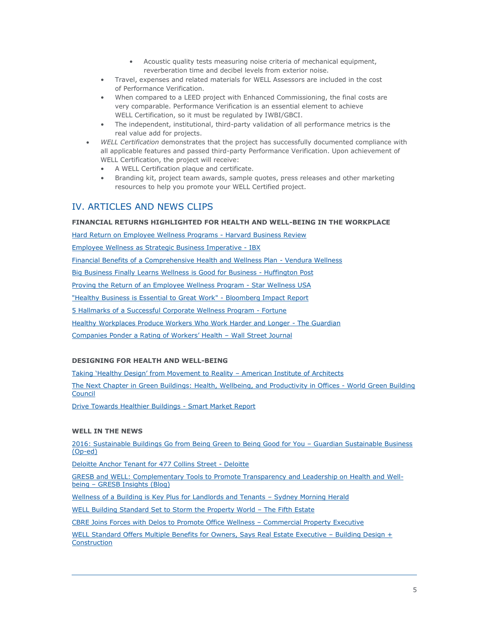- Acoustic quality tests measuring noise criteria of mechanical equipment, reverberation time and decibel levels from exterior noise.
- Travel, expenses and related materials for WELL Assessors are included in the cost of Performance Verification.
- When compared to a LEED project with Enhanced Commissioning, the final costs are very comparable. Performance Verification is an essential element to achieve WELL Certification, so it must be regulated by IWBI/GBCI.
- The independent, institutional, third-party validation of all performance metrics is the real value add for projects.
- *WELL Certification* demonstrates that the project has successfully documented compliance with all applicable features and passed third-party Performance Verification. Upon achievement of WELL Certification, the project will receive:
	- A WELL Certification plaque and certificate.
	- Branding kit, project team awards, sample quotes, press releases and other marketing resources to help you promote your WELL Certified project.

#### IV. ARTICLES AND NEWS CLIPS

#### FINANCIAL RETURNS HIGHLIGHTED FOR HEALTH AND WELL-BEING IN THE WORKPLACE

[Hard Return on Employee Wellness Programs -](https://hbr.org/2010/12/whats-the-hard-return-on-employee-wellness-programs) Harvard Business Review

[Employee Wellness as Strategic Business Imperative -](https://www.ibx.com/pdfs/employers/employer_resources/wellness_whitepapers/wellness_whitepaper_112013.pdf) IBX

[Financial Benefits of a Comprehensive Health and Wellness Plan -](http://vendurawellness.com/the-financial-benefits-of-a-comprehensive-health-wellness-plan/) Vendura Wellness

[Big Business Finally Learns Wellness is Good for Business -](http://www.huffingtonpost.com/arianna-huffington/big-business-finally-lear_b_5559758.html?ir=Australia) Huffington Post

Proving [the Return of an Employee Wellness Program -](http://starwellnessusa.com/proving-the-return-of-an-employee-wellness-program/) Star Wellness USA

["Healthy Business is Essential to Great Work" -](https://www.bbhub.io/sustainability/sites/6/2015/06/15_0608-Impact-Report_Web.pdf) Bloomberg Impact Report

[5 Hallmarks of a Successful Corporate Wellness Program -](http://fortune.com/2015/04/13/corporate-wellness/) Fortune

[Healthy Workplaces Produce Workers Who Work Harder and Longer -](http://www.theguardian.com/sustainable-business/2016/jan/21/healthy-workplaces-produce-employees-who-work-smarter-and-longer) The Guardian

[Companies Ponder a Rating of Workers' Health](http://www.wsj.com/articles/companies-ponder-a-rating-of-workers-health-1453804200) – Wall Street Journal

#### **DESIGNING FOR HEALTH AND WELL-BEING**

Taking ['Healthy Design' from Movement to Reality –](http://new.aia.org/articles/13351-taking-healthy-design-from-movement-to-reality?utm_source=Real%20Magnet&utm_medium=Email&utm_content=2417223098&utm_campaign=98530079) American Institute of Architects

[The Next Chapter in Green Buildings: Health,](http://www.worldgbc.org/files/6314/1152/0821/WorldGBC__Health_Wellbeing__productivity_Full_Report.pdf) Wellbeing, and Productivity in Offices - World Green Building [Council](http://www.worldgbc.org/files/6314/1152/0821/WorldGBC__Health_Wellbeing__productivity_Full_Report.pdf)

[Drive Towards Healthier Buildings -](http://www.aia.org/aiaucmp/groups/aia/documents/pdf/aiab104164.pdf) Smart Market Report

#### **WELL IN THE NEWS**

[2016: Sustainable Buildings Go from Being Green to Being Good for You](http://www.theguardian.com/sustainable-business/2015/dec/29/sustainable-development-leed-green-buildings-architecture-design) – Guardian Sustainable Business [\(Op-ed\)](http://www.theguardian.com/sustainable-business/2015/dec/29/sustainable-development-leed-green-buildings-architecture-design)

[Deloitte Anchor Tenant for 477 Collins Street -](http://www2.deloitte.com/au/en/pages/media-releases/articles/deloitte-anchor-tenant-for-477-collins-street-040516.html) Deloitte

[GRESB and WELL: Complementary Tools to Promote Transparency and Leadership on Health and Well](https://www.gresb.com/insights/2016/06/gresb-and-well-complementary-tools-to-promote-transparency-and-leadership-on-health-and-well-being/)being – [GRESB Insights \(Blog\)](https://www.gresb.com/insights/2016/06/gresb-and-well-complementary-tools-to-promote-transparency-and-leadership-on-health-and-well-being/)

[Wellness of a Building is Key Plus for Landlords and Tenants](http://www.smh.com.au/business/property/wellness-of-a-building-is-key-plus-for-landlords-and-tenants-20160324-gnqaym.html) - Sydney Morning Herald

[WELL Building Standard Set to Storm the Property World](http://www.thefifthestate.com.au/products-services/rating-tools/well-building-standard/80106) – The Fifth Estate

CBRE Joins Forces with Delos to Promote Office Wellness – [Commercial Property Executive](https://www.cpexecutive.com/post/cbre-joins-forces-with-delos-to-promote-office-wellness/)

[WELL Standard Offers Multiple Benefits for Owners, Says Real Estate Executive](http://www.bdcnetwork.com/well-standard-offers-multiple-benefits-owners-says-real-estate-executive) - Building Design + **[Construction](http://www.bdcnetwork.com/well-standard-offers-multiple-benefits-owners-says-real-estate-executive)**